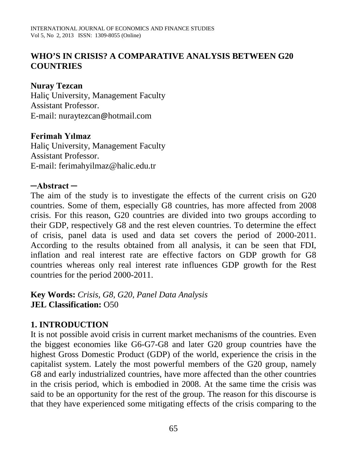# **WHO'S IN CRISIS? A COMPARATIVE ANALYSIS BETWEEN G20 COUNTRIES**

## **Nuray Tezcan**

Haliç University, Management Faculty Assistant Professor. E-mail: nuraytezcan@hotmail.com

### **Ferimah Yılmaz**

Haliç University, Management Faculty Assistant Professor. E-mail: ferimahyilmaz@halic.edu.tr

### **─Abstract ─**

The aim of the study is to investigate the effects of the current crisis on G20 countries. Some of them, especially G8 countries, has more affected from 2008 crisis. For this reason, G20 countries are divided into two groups according to their GDP, respectively G8 and the rest eleven countries. To determine the effect of crisis, panel data is used and data set covers the period of 2000-2011. According to the results obtained from all analysis, it can be seen that FDI, inflation and real interest rate are effective factors on GDP growth for G8 countries whereas only real interest rate influences GDP growth for the Rest countries for the period 2000-2011.

**Key Words:** *Crisis, G8, G20, Panel Data Analysis* **JEL Classification:** O50

## **1. INTRODUCTION**

It is not possible avoid crisis in current market mechanisms of the countries. Even the biggest economies like G6-G7-G8 and later G20 group countries have the highest Gross Domestic Product (GDP) of the world, experience the crisis in the capitalist system. Lately the most powerful members of the G20 group, namely G8 and early industrialized countries, have more affected than the other countries in the crisis period, which is embodied in 2008. At the same time the crisis was said to be an opportunity for the rest of the group. The reason for this discourse is that they have experienced some mitigating effects of the crisis comparing to the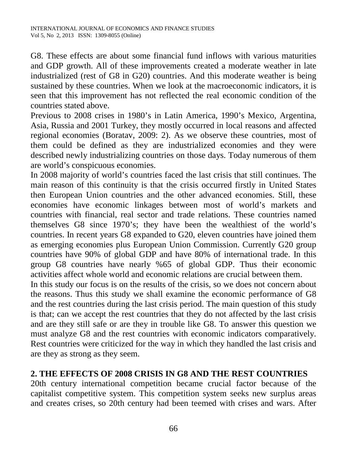G8. These effects are about some financial fund inflows with various maturities and GDP growth. All of these improvements created a moderate weather in late industrialized (rest of G8 in G20) countries. And this moderate weather is being sustained by these countries. When we look at the macroeconomic indicators, it is seen that this improvement has not reflected the real economic condition of the countries stated above.

Previous to 2008 crises in 1980's in Latin America, 1990's Mexico, Argentina, Asia, Russia and 2001 Turkey, they mostly occurred in local reasons and affected regional economies (Boratav, 2009: 2). As we observe these countries, most of them could be defined as they are industrialized economies and they were described newly industrializing countries on those days. Today numerous of them are world's conspicuous economies.

In 2008 majority of world's countries faced the last crisis that still continues. The main reason of this continuity is that the crisis occurred firstly in United States then European Union countries and the other advanced economies. Still, these economies have economic linkages between most of world's markets and countries with financial, real sector and trade relations. These countries named themselves G8 since 1970's; they have been the wealthiest of the world's countries. In recent years G8 expanded to G20, eleven countries have joined them as emerging economies plus European Union Commission. Currently G20 group countries have 90% of global GDP and have 80% of international trade. In this group G8 countries have nearly %65 of global GDP. Thus their economic activities affect whole world and economic relations are crucial between them.

In this study our focus is on the results of the crisis, so we does not concern about the reasons. Thus this study we shall examine the economic performance of G8 and the rest countries during the last crisis period. The main question of this study is that; can we accept the rest countries that they do not affected by the last crisis and are they still safe or are they in trouble like G8. To answer this question we must analyze G8 and the rest countries with economic indicators comparatively. Rest countries were criticized for the way in which they handled the last crisis and are they as strong as they seem.

## **2. THE EFFECTS OF 2008 CRISIS IN G8 AND THE REST COUNTRIES**

20th century international competition became crucial factor because of the capitalist competitive system. This competition system seeks new surplus areas and creates crises, so 20th century had been teemed with crises and wars. After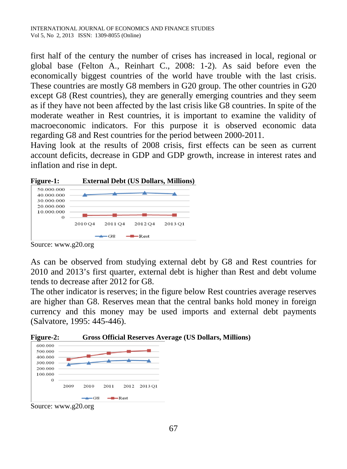first half of the century the number of crises has increased in local, regional or global base (Felton A., Reinhart C., 2008: 1-2). As said before even the economically biggest countries of the world have trouble with the last crisis. These countries are mostly G8 members in G20 group. The other countries in G20 except G8 (Rest countries), they are generally emerging countries and they seem as if they have not been affected by the last crisis like G8 countries. In spite of the moderate weather in Rest countries, it is important to examine the validity of macroeconomic indicators. For this purpose it is observed economic data regarding G8 and Rest countries for the period between 2000-2011.

Having look at the results of 2008 crisis, first effects can be seen as current account deficits, decrease in GDP and GDP growth, increase in interest rates and inflation and rise in dept.



Source: www.g20.org

As can be observed from studying external debt by G8 and Rest countries for 2010 and 2013's first quarter, external debt is higher than Rest and debt volume tends to decrease after 2012 for G8.

The other indicator is reserves; in the figure below Rest countries average reserves are higher than G8. Reserves mean that the central banks hold money in foreign currency and this money may be used imports and external debt payments (Salvatore, 1995: 445-446).

**Figure-2: Gross Official Reserves Average (US Dollars, Millions)**



Source: www.g20.org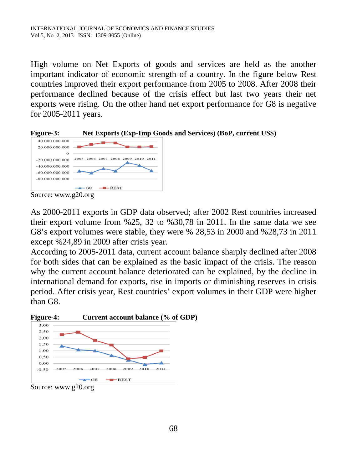High volume on Net Exports of goods and services are held as the another important indicator of economic strength of a country. In the figure below Rest countries improved their export performance from 2005 to 2008. After 2008 their performance declined because of the crisis effect but last two years their net exports were rising. On the other hand net export performance for G8 is negative for 2005-2011 years.



As 2000-2011 exports in GDP data observed; after 2002 Rest countries increased their export volume from %25, 32 to %30,78 in 2011. In the same data we see G8's export volumes were stable, they were % 28,53 in 2000 and %28,73 in 2011 except %24,89 in 2009 after crisis year.

According to 2005-2011 data, current account balance sharply declined after 2008 for both sides that can be explained as the basic impact of the crisis. The reason why the current account balance deteriorated can be explained, by the decline in international demand for exports, rise in imports or diminishing reserves in crisis period. After crisis year, Rest countries' export volumes in their GDP were higher than G8.

**Figure-4: Current account balance (% of GDP)**



Source: www.g20.org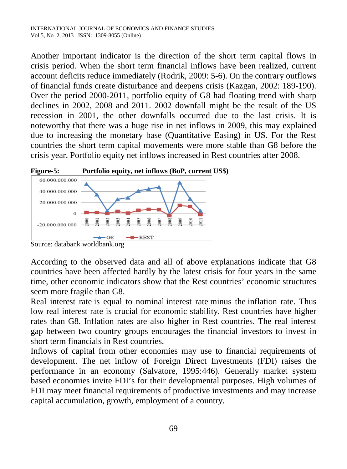Another important indicator is the direction of the short term capital flows in crisis period. When the short term financial inflows have been realized, current account deficits reduce immediately (Rodrik, 2009: 5-6). On the contrary outflows of financial funds create disturbance and deepens crisis (Kazgan, 2002: 189-190). Over the period 2000-2011, portfolio equity of G8 had floating trend with sharp declines in 2002, 2008 and 2011. 2002 downfall might be the result of the US recession in 2001, the other downfalls occurred due to the last crisis. It is noteworthy that there was a huge rise in net inflows in 2009, this may explained due to increasing the monetary base (Quantitative Easing) in US. For the Rest countries the short term capital movements were more stable than G8 before the crisis year. Portfolio equity net inflows increased in Rest countries after 2008.



Source: databank.worldbank.org

According to the observed data and all of above explanations indicate that G8 countries have been affected hardly by the latest crisis for four years in the same time, other economic indicators show that the Rest countries' economic structures seem more fragile than G8.

Real interest rate is equal to nominal interest rate minus the inflation rate. Thus low real interest rate is crucial for economic stability. Rest countries have higher rates than G8. Inflation rates are also higher in Rest countries. The real interest gap between two country groups encourages the financial investors to invest in short term financials in Rest countries.

Inflows of capital from other economies may use to financial requirements of development. The net inflow of Foreign Direct Investments (FDI) raises the performance in an economy (Salvatore, 1995:446). Generally market system based economies invite FDI's for their developmental purposes. High volumes of FDI may meet financial requirements of productive investments and may increase capital accumulation, growth, employment of a country.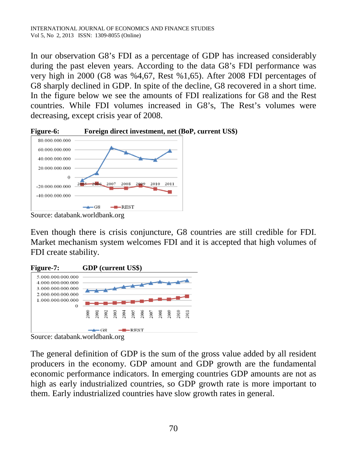In our observation G8's FDI as a percentage of GDP has increased considerably during the past eleven years. According to the data G8's FDI performance was very high in 2000 (G8 was %4,67, Rest %1,65). After 2008 FDI percentages of G8 sharply declined in GDP. In spite of the decline, G8 recovered in a short time. In the figure below we see the amounts of FDI realizations for G8 and the Rest countries. While FDI volumes increased in G8's, The Rest's volumes were decreasing, except crisis year of 2008.



Source: databank.worldbank.org

Even though there is crisis conjuncture, G8 countries are still credible for FDI. Market mechanism system welcomes FDI and it is accepted that high volumes of FDI create stability.



Source: databank.worldbank.org

The general definition of GDP is the sum of the gross value added by all resident producers in the economy. GDP amount and GDP growth are the fundamental economic performance indicators. In emerging countries GDP amounts are not as high as early industrialized countries, so GDP growth rate is more important to them. Early industrialized countries have slow growth rates in general.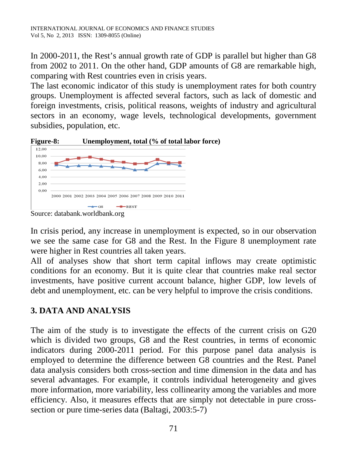In 2000-2011, the Rest's annual growth rate of GDP is parallel but higher than G8 from 2002 to 2011. On the other hand, GDP amounts of G8 are remarkable high, comparing with Rest countries even in crisis years.

The last economic indicator of this study is unemployment rates for both country groups. Unemployment is affected several factors, such as lack of domestic and foreign investments, crisis, political reasons, weights of industry and agricultural sectors in an economy, wage levels, technological developments, government subsidies, population, etc.





Source: databank.worldbank.org

In crisis period, any increase in unemployment is expected, so in our observation we see the same case for G8 and the Rest. In the Figure 8 unemployment rate were higher in Rest countries all taken years.

All of analyses show that short term capital inflows may create optimistic conditions for an economy. But it is quite clear that countries make real sector investments, have positive current account balance, higher GDP, low levels of debt and unemployment, etc. can be very helpful to improve the crisis conditions.

# **3. DATA AND ANALYSIS**

The aim of the study is to investigate the effects of the current crisis on G20 which is divided two groups, G8 and the Rest countries, in terms of economic indicators during 2000-2011 period. For this purpose panel data analysis is employed to determine the difference between G8 countries and the Rest. Panel data analysis considers both cross-section and time dimension in the data and has several advantages. For example, it controls individual heterogeneity and gives more information, more variability, less collinearity among the variables and more efficiency. Also, it measures effects that are simply not detectable in pure crosssection or pure time-series data (Baltagi, 2003:5-7)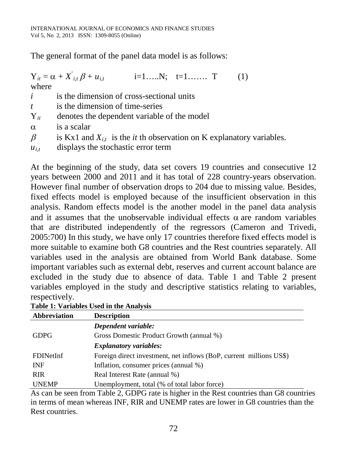The general format of the panel data model is as follows:

|           | $Y_{it} = \alpha + X_{i,t} \beta + u_{it}$ i=1 T<br>(1)                          |
|-----------|----------------------------------------------------------------------------------|
| where     |                                                                                  |
| i         | is the dimension of cross-sectional units                                        |
| t         | is the dimension of time-series                                                  |
| $Y_{it}$  | denotes the dependent variable of the model                                      |
| $\alpha$  | is a scalar                                                                      |
| $\beta$   | is Kx1 and $X_{i,t}$ is the <i>it</i> th observation on K explanatory variables. |
| $u_{i,t}$ | displays the stochastic error term                                               |

At the beginning of the study, data set covers 19 countries and consecutive 12 years between 2000 and 2011 and it has total of 228 country-years observation. However final number of observation drops to 204 due to missing value. Besides, fixed effects model is employed because of the insufficient observation in this analysis. Random effects model is the another model in the panel data analysis and it assumes that the unobservable individual effects  $\alpha$  are random variables that are distributed independently of the regressors (Cameron and Trivedi, 2005:700) In this study, we have only 17 countries therefore fixed effects model is more suitable to examine both G8 countries and the Rest countries separately. All variables used in the analysis are obtained from World Bank database. Some important variables such as external debt, reserves and current account balance are excluded in the study due to absence of data. Table 1 and Table 2 present variables employed in the study and descriptive statistics relating to variables, respectively.

| Table 1: Variables Used in the Analysis |  |  |
|-----------------------------------------|--|--|
|-----------------------------------------|--|--|

| Abbreviation | <b>Description</b>                                                  |
|--------------|---------------------------------------------------------------------|
|              | Dependent variable:                                                 |
| <b>GDPG</b>  | Gross Domestic Product Growth (annual %)                            |
|              | <b>Explanatory variables:</b>                                       |
| FDINetInf    | Foreign direct investment, net inflows (BoP, current millions US\$) |
| <b>INF</b>   | Inflation, consumer prices (annual %)                               |
| <b>RIR</b>   | Real Interest Rate (annual %)                                       |
| <b>UNEMP</b> | Unemployment, total (% of total labor force)                        |

As can be seen from Table 2, GDPG rate is higher in the Rest countries than G8 countries in terms of mean whereas INF, RIR and UNEMP rates are lower in G8 countries than the Rest countries.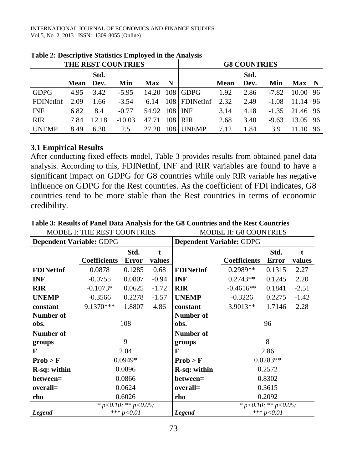| THE REST COUNTRIES |           |       |          |               | <b>G8 COUNTRIES</b> |                 |      |      |         |                  |      |
|--------------------|-----------|-------|----------|---------------|---------------------|-----------------|------|------|---------|------------------|------|
|                    |           | Std.  |          |               |                     |                 |      | Std. |         |                  |      |
|                    | Mean Dev. |       | Min      | <b>Max</b>    | N                   |                 | Mean | Dev. | Min     | Max N            |      |
| <b>GDPG</b>        | 4.95      | 3.42  | $-5.95$  |               |                     | 14.20 108 GDPG  | 1.92 | 2.86 | $-7.82$ | 10.00 96         |      |
| <b>FDINetInf</b>   | 2.09      | 1.66  | $-3.54$  | 6.14          |                     | $108$ FDINetInf | 2.32 | 2.49 | $-1.08$ | 11.14 96         |      |
| <b>INF</b>         | 6.82      | 8.4   | $-0.77$  | 54.92 108 INF |                     |                 | 3.14 | 4.18 |         | $-1.35$ 21.46 96 |      |
| <b>RIR</b>         | 7.84      | 12.18 | $-10.03$ | 47.71 108 RIR |                     |                 | 2.68 | 3.40 | $-9.63$ | 13.05 96         |      |
| <b>IJNEMP</b>      | 8.49      | 6.30  | 2.5      | 27.20         | 108 I               | <b>UNEMP</b>    | 7.12 | 1.84 | 3.9     |                  | - 96 |

#### **Table 2: Descriptive Statistics Employed in the Analysis**

#### **3.1 Empirical Results**

After conducting fixed effects model, Table 3 provides results from obtained panel data analysis. According to this, FDINetInf, INF and RIR variables are found to have a significant impact on GDPG for G8 countries while only RIR variable has negative influence on GDPG for the Rest countries. As the coefficient of FDI indicates, G8 countries tend to be more stable than the Rest countries in terms of economic credibility.

|                          | MODEL I: THE REST COUNTRIES |                            |         | MODEL II: G8 COUNTRIES          |                     |                                |         |  |
|--------------------------|-----------------------------|----------------------------|---------|---------------------------------|---------------------|--------------------------------|---------|--|
| Dependent Variable: GDPG |                             |                            |         | <b>Dependent Variable: GDPG</b> |                     |                                |         |  |
|                          |                             | Std.                       | t       |                                 |                     | Std.                           | t       |  |
|                          | <b>Coefficients</b>         | Error                      | values  |                                 | <b>Coefficients</b> | <b>Error</b>                   | values  |  |
| <b>FDINetInf</b>         | 0.0878                      | 0.1285                     | 0.68    | <b>FDINetInf</b>                | $0.2989**$          | 0.1315                         | 2.27    |  |
| <b>INF</b>               | $-0.0755$                   | 0.0807                     | $-0.94$ | <b>INF</b>                      | $0.2743**$          | 0.1245                         | 2.20    |  |
| <b>RIR</b>               | $-0.1073*$                  | 0.0625                     | $-1.72$ | <b>RIR</b>                      | $-0.4616**$         | 0.1841                         | $-2.51$ |  |
| <b>UNEMP</b>             | $-0.3566$                   | 0.2278                     | $-1.57$ | <b>UNEMP</b>                    | $-0.3226$           | 0.2275                         | $-1.42$ |  |
| constant                 | $9.1370***$                 | 1.8807                     | 4.86    | constant                        | $3.9013**$          | 1.7146                         | 2.28    |  |
| Number of                |                             |                            |         | Number of                       |                     |                                |         |  |
| obs.                     | 108                         |                            |         | obs.                            | 96                  |                                |         |  |
| Number of                |                             |                            |         | Number of                       |                     |                                |         |  |
| groups                   | 9                           |                            |         | groups                          | 8                   |                                |         |  |
| F                        | 2.04                        |                            |         | F                               | 2.86                |                                |         |  |
| Prob > F                 | $0.0949*$                   |                            |         | Prob > F                        | $0.0283**$          |                                |         |  |
| R-sq: within             | 0.0896                      |                            |         | R-sq: within                    | 0.2572              |                                |         |  |
| between=                 | 0.0866                      |                            |         | between=                        | 0.8302              |                                |         |  |
| overall=                 | 0.0624                      |                            |         | overall=                        | 0.3615              |                                |         |  |
| rho                      | 0.6026                      |                            |         | rho                             | 0.2092              |                                |         |  |
|                          |                             | * $p<0.10$ ; ** $p<0.05$ ; |         |                                 |                     | * $p < 0.10$ ; ** $p < 0.05$ ; |         |  |
| <b>Legend</b>            |                             | *** $p < 0.01$             |         | <b>Legend</b>                   | $***p<0.01$         |                                |         |  |

#### **Table 3: Results of Panel Data Analysis for the G8 Countries and the Rest Countries** MODEL I: THE REST COUNTRIES MODEL II: G8 COUNTRIES